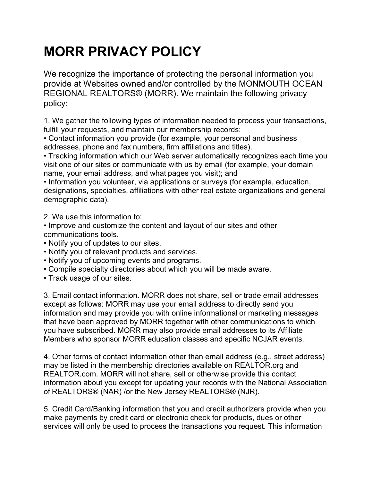## **MORR PRIVACY POLICY**

We recognize the importance of protecting the personal information you provide at Websites owned and/or controlled by the MONMOUTH OCEAN REGIONAL REALTORS® (MORR). We maintain the following privacy policy:

1. We gather the following types of information needed to process your transactions, fulfill your requests, and maintain our membership records:

• Contact information you provide (for example, your personal and business addresses, phone and fax numbers, firm affiliations and titles).

• Tracking information which our Web server automatically recognizes each time you visit one of our sites or communicate with us by email (for example, your domain name, your email address, and what pages you visit); and

• Information you volunteer, via applications or surveys (for example, education, designations, specialties, affiliations with other real estate organizations and general demographic data).

2. We use this information to:

- Improve and customize the content and layout of our sites and other communications tools.
- Notify you of updates to our sites.
- Notify you of relevant products and services.
- Notify you of upcoming events and programs.
- Compile specialty directories about which you will be made aware.
- Track usage of our sites.

3. Email contact information. MORR does not share, sell or trade email addresses except as follows: MORR may use your email address to directly send you information and may provide you with online informational or marketing messages that have been approved by MORR together with other communications to which you have subscribed. MORR may also provide email addresses to its Affiliate Members who sponsor MORR education classes and specific NCJAR events.

4. Other forms of contact information other than email address (e.g., street address) may be listed in the membership directories available on REALTOR.org and REALTOR.com. MORR will not share, sell or otherwise provide this contact information about you except for updating your records with the National Association of REALTORS® (NAR) /or the New Jersey REALTORS® (NJR).

5. Credit Card/Banking information that you and credit authorizers provide when you make payments by credit card or electronic check for products, dues or other services will only be used to process the transactions you request. This information